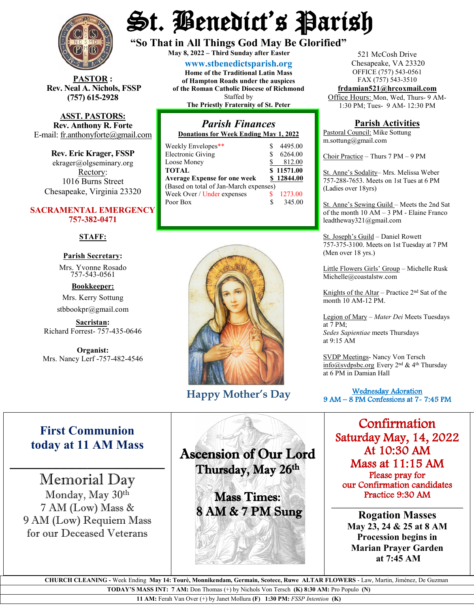

**STOR** : **Rev. Neal A. Nichols, FSSP (757) 615-2928** 

**ASST. PASTORS: Rev. Anthony R. Forte** E-mail: [fr.anthonyforte@gmail.com](mailto:fr.anthonyforte@gmail.com)

**Rev. Eric Krager, FSSP** ekrager@olgseminary.org Rectory: 1016 Burns Street Chesapeake, Virginia 23320

### **SACRAMENTAL EMERGENCY 757-382-0471**

#### **STAFF:**

# **Parish Secretary:**

Mrs. Yvonne Rosado757-543-0561

**Bookkeeper:** Mrs. Kerry Sottung stbbookpr@gmail.com

**Sacristan:**  Richard Forrest- 757-435-0646

**Organist:** Mrs. Nancy Lerf -757-482-4546

# St. Benedict's Parish

**"So That in All Things God May Be Glorified" May 8, <sup>2022</sup> – Third Sunday after Easter**

**[www.stbenedictsparish.org](http://www.stbenedictsparish.org/) Home of the Traditional Latin Mass of Hampton Roads under the auspices of the Roman Catholic Diocese of Richmond**

#### Staffed by

**The Priestly Fraternity of St. Peter**

## *Parish Finances* **Donations for Week Ending May 1, 2022**

| Weekly Envelopes**                     |   | 4495.00    |
|----------------------------------------|---|------------|
| <b>Electronic Giving</b>               |   | 6264.00    |
| Loose Money                            |   | 812.00     |
| <b>TOTAL</b>                           |   | \$11571.00 |
| <b>Average Expense for one week</b>    |   | \$12844.00 |
| (Based on total of Jan-March expenses) |   |            |
| Week Over / Under expenses             |   | 1273.00    |
| Poor Box                               | S | 345.00     |
|                                        |   |            |



**Happy Mother's Day**

521 McCosh Drive Chesapeake, VA 23320 OFFICE (757) 543-0561 FAX (757) 543-3510

**[frdamian521@hrcoxmail.com](mailto:frdamian521@hrcoxmail.com)** Office Hours: Mon, Wed, Thurs- 9 AM-

1:30 PM; Tues- 9 AM- 12:30 PM

## **Parish Activities**

Pastoral Council: Mike Sottung m.sottung@gmail.com

Choir Practice – Thurs 7 PM – 9 PM

St. Anne's Sodality– Mrs. Melissa Weber 757-288-7653. Meets on 1st Tues at 6 PM (Ladies over 18yrs)

St. Anne's Sewing Guild – Meets the 2nd Sat of the month 10 AM – 3 PM - Elaine Franco leadtheway321@gmail.com

St. Joseph's Guild – Daniel Rowett 757-375-3100. Meets on 1st Tuesday at 7 PM (Men over 18 yrs.)

Little Flowers Girls' Group – Michelle Rusk Michelle@coastalstw.com

Knights of the Altar – Practice  $2<sup>nd</sup>$  Sat of the month 10 AM-12 PM.

Legion of Mary – *Mater Dei* Meets Tuesdays at 7 PM; *Sedes Sapientiae* meets Thursdays at 9:15 AM

SVDP Meetings- Nancy Von Tersch [info@svdpsbc.org](mailto:info@svdpsbc.org) Every 2nd & 4th Thursday at 6 PM in Damian Hall

 Wednesday Adoration 9 AM – 8 PM Confessions at 7- 7:45 PM  $\overline{a}$ 

Confirmation Saturday May, 14, 2022 At 10:30 AM Mass at 11:15 AM Please pray for our Confirmation candidates Practice 9:30 AM

**Rogation Masses May 23, 24 & 25 at 8 AM Procession begins in Marian Prayer Garden at 7:45 AM**

**\_\_\_\_\_\_\_\_\_\_\_\_\_\_\_\_\_\_\_\_\_\_\_\_\_\_\_\_\_\_\_\_\_\_**

# **First Communion today at 11 AM Mass**

 $\mathcal{L}_\text{max}$  , where  $\mathcal{L}_\text{max}$ 

Memorial Day Monday, May 30th 7 AM (Low) Mass & 9 AM (Low) Requiem Mass for our Deceased Veterans

Ascension of Our Lord Thursday, May 26th Ī

**Sales A** 

Mass Times: 8 AM & 7 PM Sung

 **CHURCH CLEANING -** Week Ending **May 14: Tourè, Monnikendam, Germain, Scotece, Ruwe ALTAR FLOWERS** - Law, Martin, Jiménez, De Guzman **TODAY'S MASS INT: 7 AM:** Don Thomas (+) by Nichols Von Tersch **(K) 8:30 AM:** Pro Populo **(N)**

**11 AM:** Ferah Van Over (+) by Janet Mollura **(F) 1:30 PM:** *FSSP Intention* **(K)**